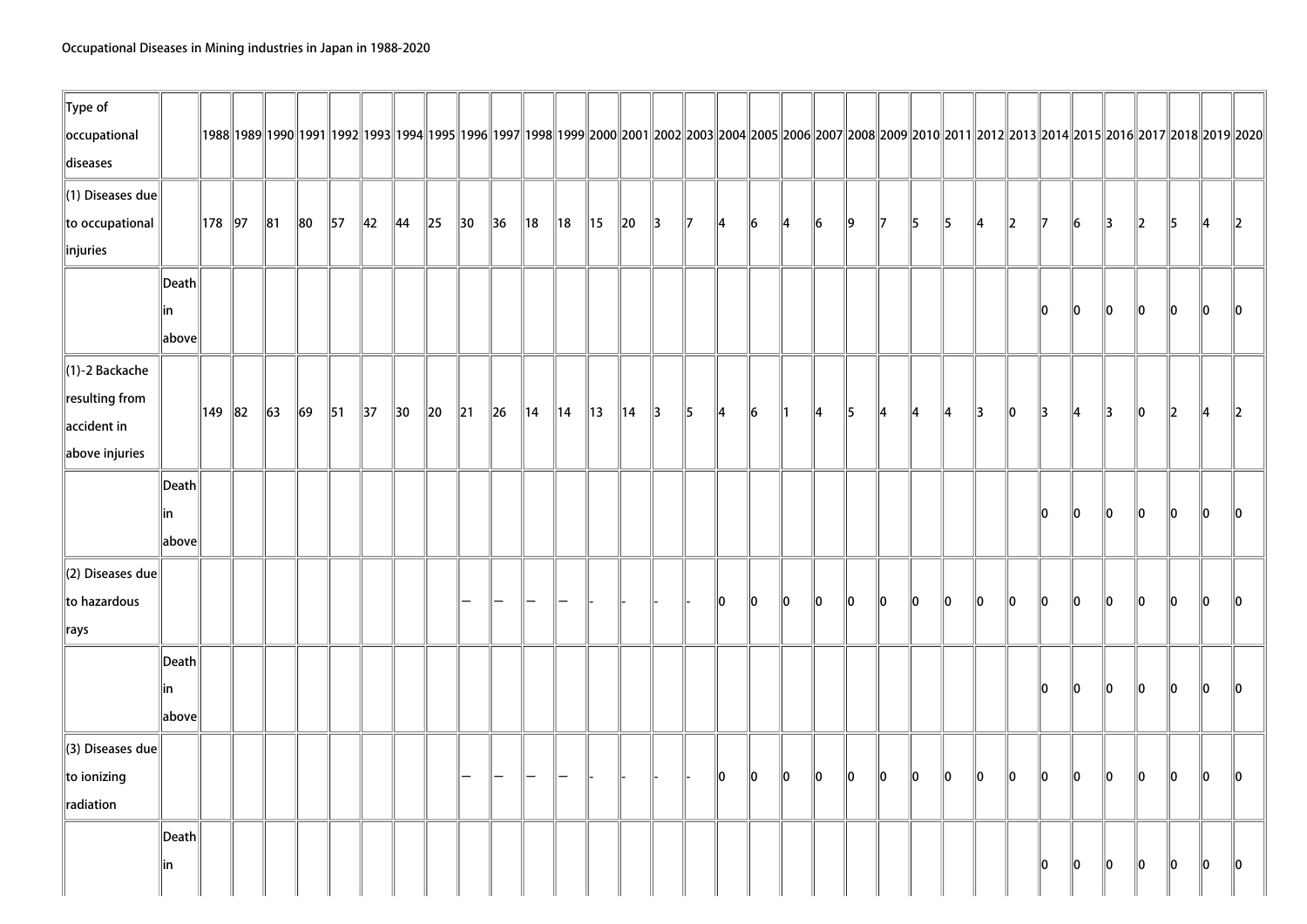| $\ $ Type of            |                                      |          |         |                |            |                |                |          |                |                |                |                |                |                |               |               |    |               |               |               |           |               |         |               |               |               |               |               |               |               |               |                                                                                                                                                                                          |               |
|-------------------------|--------------------------------------|----------|---------|----------------|------------|----------------|----------------|----------|----------------|----------------|----------------|----------------|----------------|----------------|---------------|---------------|----|---------------|---------------|---------------|-----------|---------------|---------|---------------|---------------|---------------|---------------|---------------|---------------|---------------|---------------|------------------------------------------------------------------------------------------------------------------------------------------------------------------------------------------|---------------|
| occupational            |                                      |          |         |                |            |                |                |          |                |                |                |                |                |                |               |               |    |               |               |               |           |               |         |               |               |               |               |               |               |               |               | 1992  1992  1992  1993  1993  1994  1995  1996  1997  1998  1999  2000  2001  2002  2003  2004  2005  2006  2007  2008  2009  2010  2011  2012  2013  2014  2015  2016  2017  2018  2019 |               |
| diseases                |                                      |          |         |                |            |                |                |          |                |                |                |                |                |                |               |               |    |               |               |               |           |               |         |               |               |               |               |               |               |               |               |                                                                                                                                                                                          |               |
| $\ $ (1) Diseases due   |                                      |          |         |                |            |                |                |          |                |                |                |                |                |                |               |               |    |               |               |               |           |               |         |               |               |               |               |               |               |               |               |                                                                                                                                                                                          |               |
| to occupational         |                                      | 178 97   | ∥81     | $\parallel$ 80 | $\vert$ 57 | $\parallel$ 42 | $\parallel$ 44 | $\ 25\ $ | $\parallel$ 30 | $\parallel$ 36 | 18             | 18             | 15             | $\ 20\ $       | $\parallel$ 3 | $\parallel$ 7 | 14 | $\parallel$ 6 | $\parallel$ 4 | $\vert$ 6     | $\vert$ 9 | $\parallel$ 7 | 15      | $\parallel$ 5 | 14            | $\parallel$ 2 | $\mathbb{I}$  | $\vert$ 6     | 13            | 2             | 5             | 14                                                                                                                                                                                       | $\mathbb{I}2$ |
| injuries                |                                      |          |         |                |            |                |                |          |                |                |                |                |                |                |               |               |    |               |               |               |           |               |         |               |               |               |               |               |               |               |               |                                                                                                                                                                                          |               |
|                         | $\vert$ Death $\vert$                |          |         |                |            |                |                |          |                |                |                |                |                |                |               |               |    |               |               |               |           |               |         |               |               |               |               |               |               |               |               |                                                                                                                                                                                          |               |
|                         | in                                   |          |         |                |            |                |                |          |                |                |                |                |                |                |               |               |    |               |               |               |           |               |         |               |               |               | lo.           | 10            | 10            | 10            | 10            | llo.                                                                                                                                                                                     | llo.          |
|                         | $\left\Vert \text{above}\right\Vert$ |          |         |                |            |                |                |          |                |                |                |                |                |                |               |               |    |               |               |               |           |               |         |               |               |               |               |               |               |               |               |                                                                                                                                                                                          |               |
| $\ $ (1)-2 Backache     |                                      |          |         |                |            |                |                |          |                |                |                |                |                |                |               |               |    |               |               |               |           |               |         |               |               |               |               |               |               |               |               |                                                                                                                                                                                          |               |
| resulting from          |                                      |          |         |                |            |                |                |          |                |                |                |                |                |                |               |               |    |               |               |               |           |               |         |               |               |               |               |               |               |               |               |                                                                                                                                                                                          |               |
| $\parallel$ accident in |                                      | ∥149 ∥82 | $\ $ 63 | $\ 69\ $       | $\vert$ 51 | $\parallel$ 37 | $\parallel$ 30 | $\ 20\ $ | $\parallel$ 21 | $\ $ 26        | $\parallel$ 14 | $\parallel$ 14 | $\parallel$ 13 | $\parallel$ 14 | $\parallel$ 3 | $\parallel$ 5 | 4  | $\vert$ 6     | $\parallel$ 1 | $\parallel$ 4 | $\vert$ 5 | ∥4            | 4       | ∥4            | $\parallel$ 3 | $\ 0\ $       | $\parallel$ 3 | ∥4            | $\parallel$ 3 | 10            | $\ 2\ $       | 14                                                                                                                                                                                       | $\mathbb{I}2$ |
| $\ $ above injuries     |                                      |          |         |                |            |                |                |          |                |                |                |                |                |                |               |               |    |               |               |               |           |               |         |               |               |               |               |               |               |               |               |                                                                                                                                                                                          |               |
|                         | $\vert$ Death $\vert$                |          |         |                |            |                |                |          |                |                |                |                |                |                |               |               |    |               |               |               |           |               |         |               |               |               |               |               |               |               |               |                                                                                                                                                                                          |               |
|                         | in                                   |          |         |                |            |                |                |          |                |                |                |                |                |                |               |               |    |               |               |               |           |               |         |               |               |               | llo.          | llo.          | llo.          | llo.          | llo.          | ln.                                                                                                                                                                                      | IO.           |
|                         | $\left\vert$ above $\right\vert$     |          |         |                |            |                |                |          |                |                |                |                |                |                |               |               |    |               |               |               |           |               |         |               |               |               |               |               |               |               |               |                                                                                                                                                                                          |               |
| (2) Diseases due        |                                      |          |         |                |            |                |                |          |                |                |                |                |                |                |               |               |    |               |               |               |           |               |         |               |               |               |               |               |               |               |               |                                                                                                                                                                                          |               |
| to hazardous            |                                      |          |         |                |            |                |                |          |                |                |                |                |                |                |               |               | 10 | $\parallel$ 0 | $\ 0\ $       | $\parallel$ 0 | $\ 0\ $   | $\parallel$ 0 | 10      | 10            | 10            | 10            | 10            | 10            | 10            | 10            | 10            | 10                                                                                                                                                                                       | llo.          |
| $\ $ rays               |                                      |          |         |                |            |                |                |          |                |                |                |                |                |                |               |               |    |               |               |               |           |               |         |               |               |               |               |               |               |               |               |                                                                                                                                                                                          |               |
|                         | Death                                |          |         |                |            |                |                |          |                |                |                |                |                |                |               |               |    |               |               |               |           |               |         |               |               |               |               |               |               |               |               |                                                                                                                                                                                          |               |
|                         | in                                   |          |         |                |            |                |                |          |                |                |                |                |                |                |               |               |    |               |               |               |           |               |         |               |               |               | llo.          | $\parallel$ 0 | $\parallel$ 0 | $\parallel$ 0 | $\parallel$ 0 | 10                                                                                                                                                                                       | llO.          |
|                         | above                                |          |         |                |            |                |                |          |                |                |                |                |                |                |               |               |    |               |               |               |           |               |         |               |               |               |               |               |               |               |               |                                                                                                                                                                                          |               |
| (3) Diseases due        |                                      |          |         |                |            |                |                |          |                |                |                |                |                |                |               |               |    |               |               |               |           |               |         |               |               |               |               |               |               |               |               |                                                                                                                                                                                          |               |
| $\ $ to ionizing        |                                      |          |         |                |            |                |                |          |                |                |                |                |                |                |               |               | 10 | 10            | 10            | $\ 0\ $       | $\ 0\ $   | $\ 0\ $       | $\ 0\ $ | $\ 0\ $       | $\ 0\ $       | $\ 0\ $       | lo.           | lo.           | lo.           | lo.           | lo.           | 10                                                                                                                                                                                       | llo.          |
| radiation               |                                      |          |         |                |            |                |                |          |                |                |                |                |                |                |               |               |    |               |               |               |           |               |         |               |               |               |               |               |               |               |               |                                                                                                                                                                                          |               |
|                         | Death                                |          |         |                |            |                |                |          |                |                |                |                |                |                |               |               |    |               |               |               |           |               |         |               |               |               |               |               |               |               |               |                                                                                                                                                                                          |               |
|                         | in                                   |          |         |                |            |                |                |          |                |                |                |                |                |                |               |               |    |               |               |               |           |               |         |               |               |               | 10            | 10            | 10            | 10            | 10            | 10                                                                                                                                                                                       | 10            |
|                         |                                      |          |         |                |            |                |                |          |                |                |                |                |                |                |               |               |    |               |               |               |           |               |         |               |               |               |               |               |               |               |               |                                                                                                                                                                                          |               |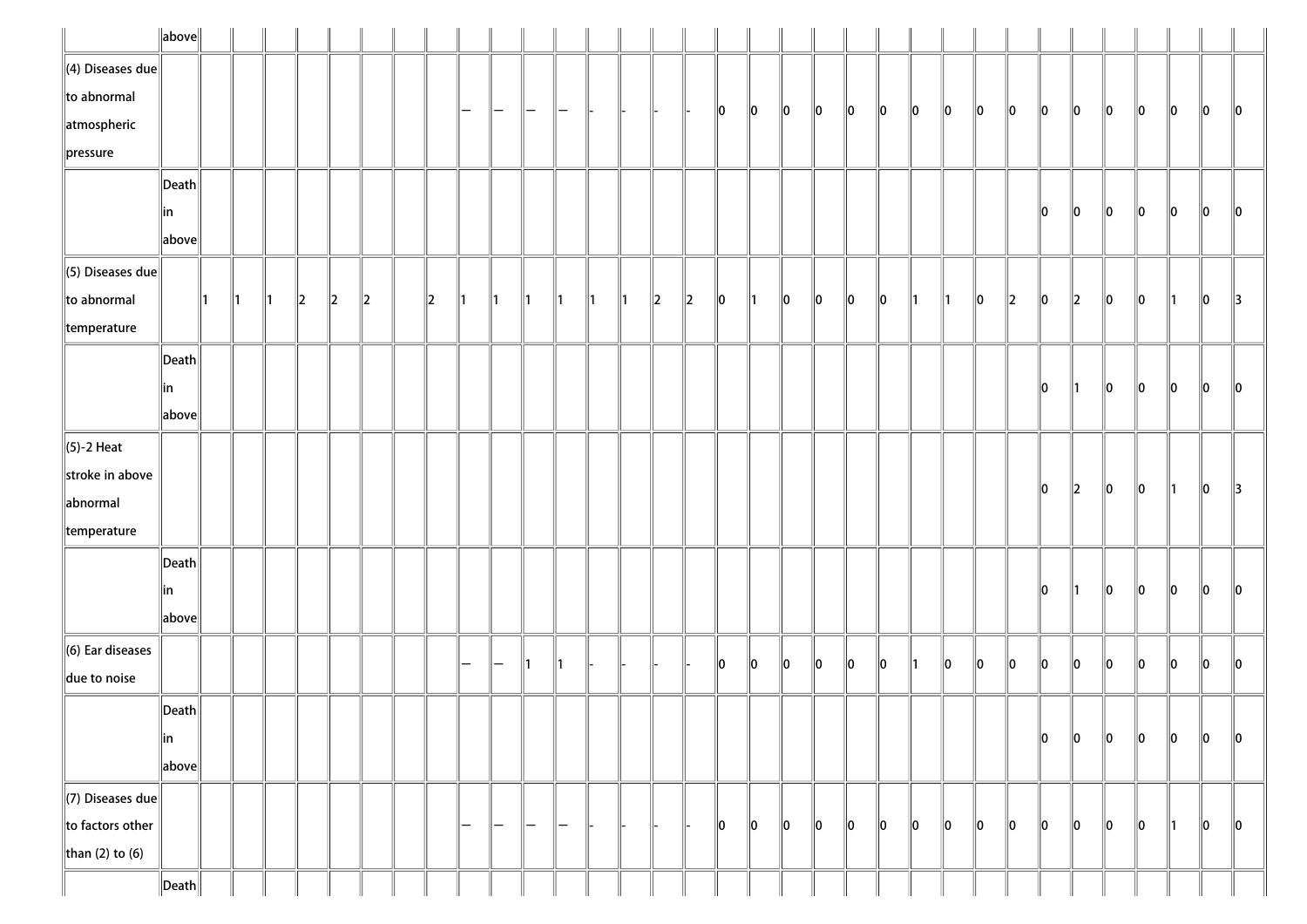|                          | $\ $ above $\ $       |    |               |               |         |   |             |   |   |   |               |    |    |               |               |         |    |               |         |    |    |    |    |    |    |               |         |             |         |         |    |    |               |
|--------------------------|-----------------------|----|---------------|---------------|---------|---|-------------|---|---|---|---------------|----|----|---------------|---------------|---------|----|---------------|---------|----|----|----|----|----|----|---------------|---------|-------------|---------|---------|----|----|---------------|
| $\ $ (4) Diseases due    |                       |    |               |               |         |   |             |   |   |   |               |    |    |               |               |         |    |               |         |    |    |    |    |    |    |               |         |             |         |         |    |    |               |
| $\ $ to abnormal         |                       |    |               |               |         |   |             |   | - | — |               |    |    |               |               |         | 10 | 10            | $\ 0\ $ | 10 | 10 | 10 | 10 | 10 | 10 | 10            | 10      | 10          | 10      | 10      | 10 | 10 | 10            |
| $\parallel$ atmospheric  |                       |    |               |               |         |   |             |   |   |   |               |    |    |               |               |         |    |               |         |    |    |    |    |    |    |               |         |             |         |         |    |    |               |
| pressure                 |                       |    |               |               |         |   |             |   |   |   |               |    |    |               |               |         |    |               |         |    |    |    |    |    |    |               |         |             |         |         |    |    |               |
|                          | $ \mathsf{Death} $    |    |               |               |         |   |             |   |   |   |               |    |    |               |               |         |    |               |         |    |    |    |    |    |    |               |         |             |         |         |    |    |               |
|                          | in                    |    |               |               |         |   |             |   |   |   |               |    |    |               |               |         |    |               |         |    |    |    |    |    |    |               | 10      | 10          | 10      | 10      | 10 | 10 | 10            |
|                          | above                 |    |               |               |         |   |             |   |   |   |               |    |    |               |               |         |    |               |         |    |    |    |    |    |    |               |         |             |         |         |    |    |               |
| $\ $ (5) Diseases due    |                       |    |               |               |         |   |             |   |   |   |               |    |    |               |               |         |    |               |         |    |    |    |    |    |    |               |         |             |         |         |    |    |               |
| $\ $ to abnormal         |                       | ∥1 | $\parallel$ 1 | $\parallel$ 1 | $\ 2\ $ | 2 | $\parallel$ | 2 |   |   | 111           | ∥1 | ∥1 | $\parallel$ 1 | $\parallel$ 2 | $\ 2\ $ | 10 | $\parallel$ 1 | 10      | 10 | 10 | 10 | ∥1 | ∥1 | 10 | $\parallel$ 2 | 10      | $\parallel$ | 10      | 10      | 11 | 10 | $\parallel$ 3 |
| $\parallel$ temperature  |                       |    |               |               |         |   |             |   |   |   |               |    |    |               |               |         |    |               |         |    |    |    |    |    |    |               |         |             |         |         |    |    |               |
|                          | $\vert$ Death $\vert$ |    |               |               |         |   |             |   |   |   |               |    |    |               |               |         |    |               |         |    |    |    |    |    |    |               |         |             |         |         |    |    |               |
|                          | in                    |    |               |               |         |   |             |   |   |   |               |    |    |               |               |         |    |               |         |    |    |    |    |    |    |               | 10      | 11          | 10      | 10      | 10 | 10 | 10            |
|                          | above                 |    |               |               |         |   |             |   |   |   |               |    |    |               |               |         |    |               |         |    |    |    |    |    |    |               |         |             |         |         |    |    |               |
| $\ $ (5)-2 Heat          |                       |    |               |               |         |   |             |   |   |   |               |    |    |               |               |         |    |               |         |    |    |    |    |    |    |               |         |             |         |         |    |    |               |
| stroke in above          |                       |    |               |               |         |   |             |   |   |   |               |    |    |               |               |         |    |               |         |    |    |    |    |    |    |               | 10      | $\ 2\ $     | $\ 0\ $ | $\ 0\ $ | 11 | 10 | $\parallel$ 3 |
| abnormal                 |                       |    |               |               |         |   |             |   |   |   |               |    |    |               |               |         |    |               |         |    |    |    |    |    |    |               |         |             |         |         |    |    |               |
| $\parallel$ temperature  |                       |    |               |               |         |   |             |   |   |   |               |    |    |               |               |         |    |               |         |    |    |    |    |    |    |               |         |             |         |         |    |    |               |
|                          | $ \mathsf{Death} $    |    |               |               |         |   |             |   |   |   |               |    |    |               |               |         |    |               |         |    |    |    |    |    |    |               |         |             |         |         |    |    |               |
|                          | in                    |    |               |               |         |   |             |   |   |   |               |    |    |               |               |         |    |               |         |    |    |    |    |    |    |               | 10      | 11          | 10      | 10      | 10 | 10 | $\ 0\ $       |
|                          | above                 |    |               |               |         |   |             |   |   |   |               |    |    |               |               |         |    |               |         |    |    |    |    |    |    |               |         |             |         |         |    |    |               |
| $\ $ (6) Ear diseases    |                       |    |               |               |         |   |             |   |   |   |               |    |    |               |               |         |    |               |         |    |    |    |    |    |    |               | llo     | ∥o          |         |         |    |    |               |
| $\parallel$ due to noise |                       |    |               |               |         |   |             |   |   |   |               | 11 |    |               |               |         | 10 | 10            | $\ 0\ $ | 10 | 10 | 10 | ∥1 | 10 | 10 | 10            |         |             | 10      | 10      | 10 | 10 | 10            |
|                          | $\ $ Death $\ $       |    |               |               |         |   |             |   |   |   |               |    |    |               |               |         |    |               |         |    |    |    |    |    |    |               |         |             |         |         |    |    |               |
|                          | ∥in                   |    |               |               |         |   |             |   |   |   |               |    |    |               |               |         |    |               |         |    |    |    |    |    |    |               | 10      | $\ 0\ $     | $\ 0\ $ | 10      | 10 | 10 | $\ 0\ $       |
|                          | above                 |    |               |               |         |   |             |   |   |   |               |    |    |               |               |         |    |               |         |    |    |    |    |    |    |               |         |             |         |         |    |    |               |
| $\Vert$ (7) Diseases due |                       |    |               |               |         |   |             |   |   |   |               |    |    |               |               |         |    |               |         |    |    |    |    |    |    |               |         |             |         |         |    |    |               |
| to factors other         |                       |    |               |               |         |   |             |   | — | — | $\overline{}$ | —  |    |               |               |         | 10 | 10            | $\ 0\ $ | 10 | 10 | 10 | 10 | 10 | 10 | 10            | $\ 0\ $ | 10          | 10      | 10      | 11 | 10 | $\ 0\ $       |
| than (2) to (6)          |                       |    |               |               |         |   |             |   |   |   |               |    |    |               |               |         |    |               |         |    |    |    |    |    |    |               |         |             |         |         |    |    |               |
|                          | $\ $ Death $\ $       |    |               |               |         |   |             |   |   |   |               |    |    |               |               |         |    |               |         |    |    |    |    |    |    |               |         |             |         |         |    |    |               |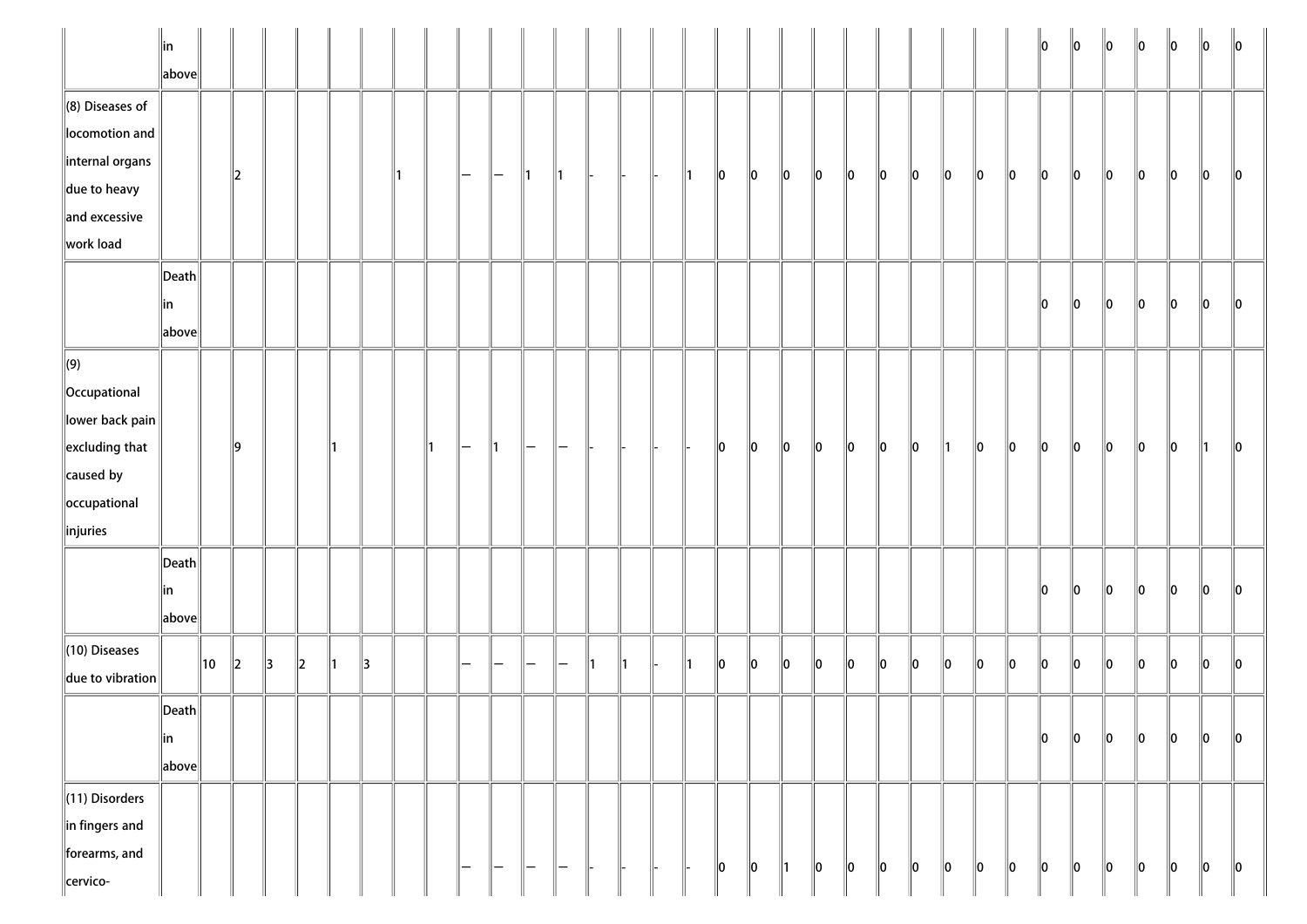|                                                                                                                                                 | in<br>above                                     |    |         |               |         |     |   |    |    |   |                        |                   |    |    |    |    |    |         |               |         |    |         |          |         |         |               | 10      | $\ 0\ $ | $\ 0\ $ | $\ 0\ $ | $\ 0\ $ | 10      | $\mathsf{I}$ 10 |
|-------------------------------------------------------------------------------------------------------------------------------------------------|-------------------------------------------------|----|---------|---------------|---------|-----|---|----|----|---|------------------------|-------------------|----|----|----|----|----|---------|---------------|---------|----|---------|----------|---------|---------|---------------|---------|---------|---------|---------|---------|---------|-----------------|
| $\ $ (8) Diseases of<br>locomotion and<br>internal organs<br>$\ $ due to heavy<br>and excessive                                                 |                                                 |    | $\ 2\ $ |               |         |     |   | 11 |    | — | —                      | 11                | ∥1 |    |    | ∥1 | 10 | 10      | 10            | 10      | 10 | 10      | 10       | $\ 0\ $ | 10      | 10            | 10      | 10      | 10      | $\ 0\ $ | 10      | $\ 0\ $ | 10              |
| work load                                                                                                                                       | $\ $ Death<br>∥in<br>above                      |    |         |               |         |     |   |    |    |   |                        |                   |    |    |    |    |    |         |               |         |    |         |          |         |         |               | 10      | $\ 0\ $ | $\ 0\ $ | $\ 0\ $ | $\ 0\ $ | $\ 0\ $ | 10              |
| $\left\  (9) \right\ $<br><b>Occupational</b><br>lower back pain<br>$\left\ $ excluding that<br>$\ $ caused by<br>occupational<br>$\ $ injuries |                                                 |    | ∥9      |               |         | 11  |   |    | 11 | - | 11.                    |                   |    |    |    |    | 10 | $\ 0\ $ | $ 0\rangle$   | $\ 0\ $ | 10 | 10      | 10       | ∥1      | 10      | $\parallel$ 0 | 10      | $\ 0\ $ | 10      | 10      | 10      | 11      | 10              |
|                                                                                                                                                 | $\vert$ Death $\vert$<br>∥in<br>$\ $ above $\ $ |    |         |               |         |     |   |    |    |   |                        |                   |    |    |    |    |    |         |               |         |    |         |          |         |         |               | 10      | llo     | lo.     | lo      | lo.     | llo     | 10              |
| $\ $ (10) Diseases<br>due to vibration                                                                                                          |                                                 | 10 | $\ 2\ $ | $\parallel$ 3 | $\ 2\ $ | 11. | 3 |    |    |   |                        |                   | —  | 11 | 11 | ∥1 | 10 | $\ 0\ $ | 10            | $\ 0\ $ | 10 | $\ 0\ $ | <b>O</b> | $\ 0\ $ | $\ 0\ $ | $\ 0\ $       | $\ 0\ $ | $\ 0\ $ | $\ 0\ $ | $\ 0\ $ | $\ 0\ $ | $\ 0\ $ | $\ 0\ $         |
|                                                                                                                                                 | $\vert$ Death $\vert$<br>∥in<br>above           |    |         |               |         |     |   |    |    |   |                        |                   |    |    |    |    |    |         |               |         |    |         |          |         |         |               | $\ 0\ $ | $\ 0\ $ | $\ 0\ $ | $\ 0\ $ | $\ 0\ $ | $\ 0\ $ | $\ 0\ $         |
| $\ $ (11) Disorders<br>$\ $ in fingers and<br>forearms, and<br>cervico-                                                                         |                                                 |    |         |               |         |     |   |    |    | — | $\qquad \qquad \qquad$ | $\qquad \qquad -$ | —  |    |    |    | 10 | $\ 0\ $ | $\parallel$ 1 | $\ 0\ $ | 10 | $\ 0\ $ | 10       | $\ 0\ $ | 10      | $\ 0\ $       | 10      | $\ 0\ $ | 10      | $\ 0\ $ | 10      | $\ 0\ $ | $\ 0\ $         |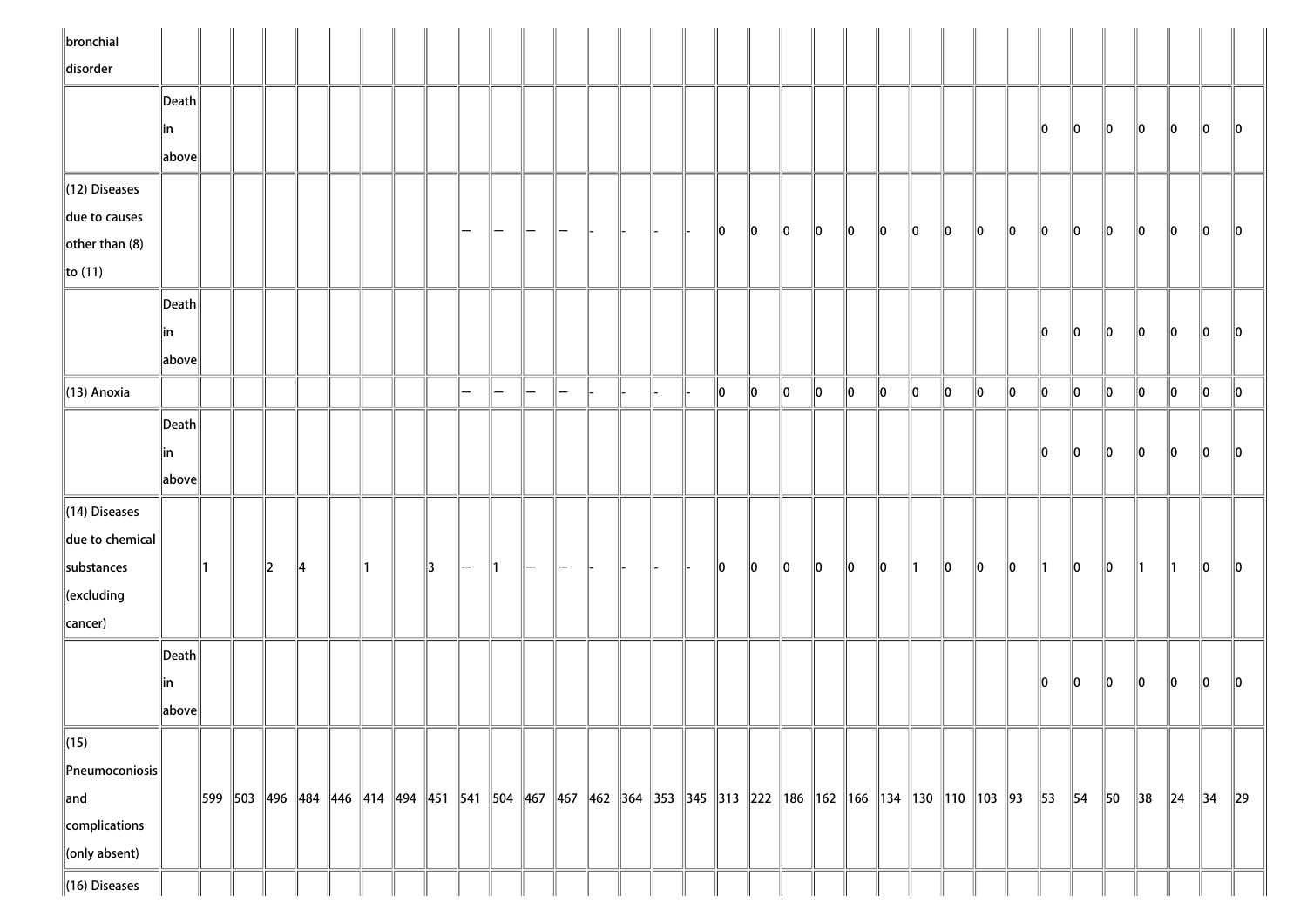| $\ $ bronchial                                  |                                      |    |    |    |  |    |                          |                   |                          |                          |  |  |    |               |         |               |         |             |               |               |                                                                                                                                                                    |               |               |    |         |                |          |                |               |
|-------------------------------------------------|--------------------------------------|----|----|----|--|----|--------------------------|-------------------|--------------------------|--------------------------|--|--|----|---------------|---------|---------------|---------|-------------|---------------|---------------|--------------------------------------------------------------------------------------------------------------------------------------------------------------------|---------------|---------------|----|---------|----------------|----------|----------------|---------------|
| disorder                                        |                                      |    |    |    |  |    |                          |                   |                          |                          |  |  |    |               |         |               |         |             |               |               |                                                                                                                                                                    |               |               |    |         |                |          |                |               |
|                                                 | $\vert$ Death $\vert$                |    |    |    |  |    |                          |                   |                          |                          |  |  |    |               |         |               |         |             |               |               |                                                                                                                                                                    |               |               |    |         |                |          |                |               |
|                                                 | in                                   |    |    |    |  |    |                          |                   |                          |                          |  |  |    |               |         |               |         |             |               |               |                                                                                                                                                                    |               | 10            | 10 | 10      | 10             | 10       | 10             | $\parallel$ 0 |
|                                                 | above                                |    |    |    |  |    |                          |                   |                          |                          |  |  |    |               |         |               |         |             |               |               |                                                                                                                                                                    |               |               |    |         |                |          |                |               |
| (12) Diseases                                   |                                      |    |    |    |  |    |                          |                   |                          |                          |  |  |    |               |         |               |         |             |               |               |                                                                                                                                                                    |               |               |    |         |                |          |                |               |
| due to causes                                   |                                      |    |    |    |  |    | —                        | $\overline{}$     |                          |                          |  |  | 10 | 10            | 10      | $\parallel$ 0 | 10      | 10          | 10            | $\parallel$ 0 | 10                                                                                                                                                                 | $\parallel$ 0 | 10            | 10 | 10      | 10             | 10       | 10             | $\parallel$ 0 |
| other than $(8)$                                |                                      |    |    |    |  |    |                          |                   |                          |                          |  |  |    |               |         |               |         |             |               |               |                                                                                                                                                                    |               |               |    |         |                |          |                |               |
| $\ $ to (11)                                    |                                      |    |    |    |  |    |                          |                   |                          |                          |  |  |    |               |         |               |         |             |               |               |                                                                                                                                                                    |               |               |    |         |                |          |                |               |
|                                                 | Death                                |    |    |    |  |    |                          |                   |                          |                          |  |  |    |               |         |               |         |             |               |               |                                                                                                                                                                    |               |               |    |         |                |          |                |               |
|                                                 | in                                   |    |    |    |  |    |                          |                   |                          |                          |  |  |    |               |         |               |         |             |               |               |                                                                                                                                                                    |               | 10            | 10 | 10      | 10             | 10       | 10             | 10            |
|                                                 | $\left\Vert \text{above}\right\Vert$ |    |    |    |  |    |                          |                   |                          |                          |  |  |    |               |         |               |         |             |               |               |                                                                                                                                                                    |               |               |    |         |                |          |                |               |
| $\parallel$ (13) Anoxia                         |                                      |    |    |    |  |    | $\equiv$                 | $\qquad \qquad -$ | $\overline{\phantom{0}}$ | $\overline{\phantom{0}}$ |  |  | 10 | $\parallel$ 0 | $\ 0\ $ | $\ 0\ $       | 10      | $\ 0\ $     | $\ 0\ $       | $\ 0\ $       | $\ 0\ $                                                                                                                                                            | $\ 0\ $       | 0             | ∥0 | $\ 0\ $ | 10             | 10       | 0              | $\ 0\ $       |
|                                                 | Death                                |    |    |    |  |    |                          |                   |                          |                          |  |  |    |               |         |               |         |             |               |               |                                                                                                                                                                    |               |               |    |         |                |          |                |               |
|                                                 | in                                   |    |    |    |  |    |                          |                   |                          |                          |  |  |    |               |         |               |         |             |               |               |                                                                                                                                                                    |               | llo.          | 10 | 10      | 10             | 10       | 10             | $\parallel$ 0 |
|                                                 | above                                |    |    |    |  |    |                          |                   |                          |                          |  |  |    |               |         |               |         |             |               |               |                                                                                                                                                                    |               |               |    |         |                |          |                |               |
| $\parallel$ (14) Diseases                       |                                      |    |    |    |  |    |                          |                   |                          |                          |  |  |    |               |         |               |         |             |               |               |                                                                                                                                                                    |               |               |    |         |                |          |                |               |
| $\ $ due to chemical                            |                                      |    |    |    |  |    |                          |                   |                          |                          |  |  |    |               |         |               |         |             |               |               |                                                                                                                                                                    |               |               |    |         |                |          |                |               |
| substances                                      |                                      | ∥1 | 12 | 14 |  | 13 | $\overline{\phantom{a}}$ | $\parallel$ 1     | $\overline{}$            | $\overline{\phantom{m}}$ |  |  | 10 | 10            | 10      | $\parallel$ 0 | $\ 0\ $ | $ 0\rangle$ | $\parallel$ 1 | $\ 0\ $       | 10                                                                                                                                                                 | $\ 0\ $       | $\parallel$ 1 | 10 | 10      | $\parallel$ 1  | ∥1       | 10             | 10            |
| $\ $ (excluding                                 |                                      |    |    |    |  |    |                          |                   |                          |                          |  |  |    |               |         |               |         |             |               |               |                                                                                                                                                                    |               |               |    |         |                |          |                |               |
| cancer)                                         |                                      |    |    |    |  |    |                          |                   |                          |                          |  |  |    |               |         |               |         |             |               |               |                                                                                                                                                                    |               |               |    |         |                |          |                |               |
|                                                 | $ \mathsf{Death} $                   |    |    |    |  |    |                          |                   |                          |                          |  |  |    |               |         |               |         |             |               |               |                                                                                                                                                                    |               |               |    |         |                |          |                |               |
|                                                 | in                                   |    |    |    |  |    |                          |                   |                          |                          |  |  |    |               |         |               |         |             |               |               |                                                                                                                                                                    |               | 10            | 10 | 10      | 10             | 10       | 10             | 10            |
|                                                 | above                                |    |    |    |  |    |                          |                   |                          |                          |  |  |    |               |         |               |         |             |               |               |                                                                                                                                                                    |               |               |    |         |                |          |                |               |
| $\sqrt{(15)}$                                   |                                      |    |    |    |  |    |                          |                   |                          |                          |  |  |    |               |         |               |         |             |               |               |                                                                                                                                                                    |               |               |    |         |                |          |                |               |
| $\left\Vert \mathsf{Pneumoconiosis}\right\Vert$ |                                      |    |    |    |  |    |                          |                   |                          |                          |  |  |    |               |         |               |         |             |               |               |                                                                                                                                                                    |               |               |    |         |                |          |                |               |
| $\ $ and                                        |                                      |    |    |    |  |    |                          |                   |                          |                          |  |  |    |               |         |               |         |             |               |               | 599   503   496   484   446   414   494   451   541   504   467   467   462   364   353   345   313   222   186   162   166   134   130   110   103   93   53   54 |               |               |    | 50      | $\parallel$ 38 | $\ 24\ $ | $\parallel$ 34 | $\ 29\ $      |
| complications                                   |                                      |    |    |    |  |    |                          |                   |                          |                          |  |  |    |               |         |               |         |             |               |               |                                                                                                                                                                    |               |               |    |         |                |          |                |               |
| conly absent)                                   |                                      |    |    |    |  |    |                          |                   |                          |                          |  |  |    |               |         |               |         |             |               |               |                                                                                                                                                                    |               |               |    |         |                |          |                |               |
| $\ $ (16) Diseases                              |                                      |    |    |    |  |    |                          |                   |                          |                          |  |  |    |               |         |               |         |             |               |               |                                                                                                                                                                    |               |               |    |         |                |          |                |               |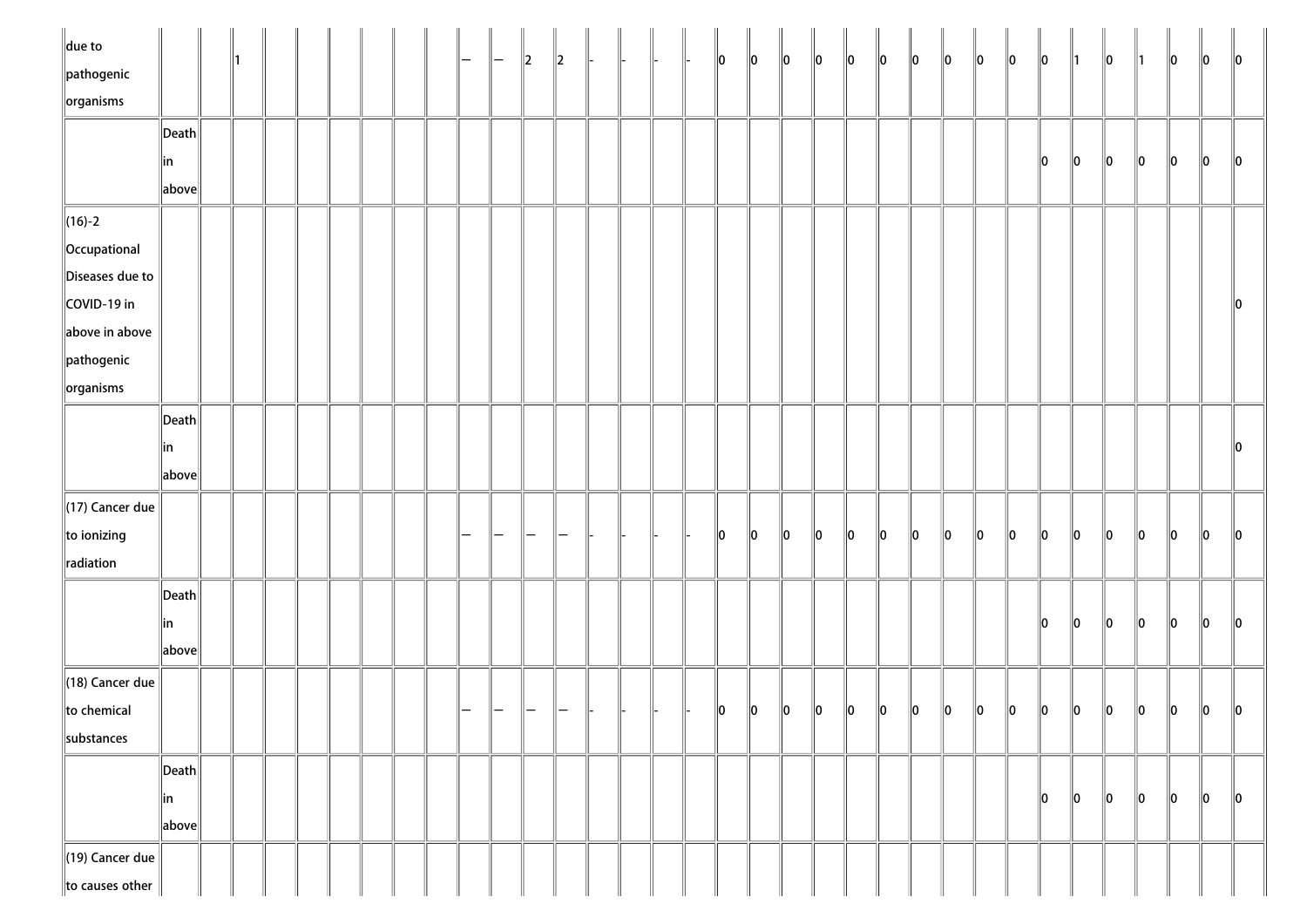| $\ $ due to<br>$\parallel$ pathogenic |                                        |  |  |  |  |  | $\parallel$ 2 | $\parallel$ 2 |  |  | $\ 0\ $       | $\ 0\ $ | $\ 0\ $     | $\ 0\ $ | $\ 0\ $ | $\ 0\ $     | $\ 0\ $     | $\ 0\ $ | $\ 0\ $ | $\ 0\ $ | $\ 0\ $ | $\parallel$ 1 | $\ 0\ $ | $\parallel$ 1 | 10      | 10      | $\ 0\ $       |
|---------------------------------------|----------------------------------------|--|--|--|--|--|---------------|---------------|--|--|---------------|---------|-------------|---------|---------|-------------|-------------|---------|---------|---------|---------|---------------|---------|---------------|---------|---------|---------------|
| $\left\Vert$ organisms                |                                        |  |  |  |  |  |               |               |  |  |               |         |             |         |         |             |             |         |         |         |         |               |         |               |         |         |               |
|                                       | $\left\Vert \mathsf{Death}\right\Vert$ |  |  |  |  |  |               |               |  |  |               |         |             |         |         |             |             |         |         |         |         |               |         |               |         |         |               |
|                                       | ∥in                                    |  |  |  |  |  |               |               |  |  |               |         |             |         |         |             |             |         |         |         | 10      | $\ 0\ $       | $\ 0\ $ | $\ 0\ $       | $\ 0\ $ | $\ 0\ $ | $\ 0\ $       |
|                                       | $\ $ above $\ $                        |  |  |  |  |  |               |               |  |  |               |         |             |         |         |             |             |         |         |         |         |               |         |               |         |         |               |
| $\ $ (16)-2                           |                                        |  |  |  |  |  |               |               |  |  |               |         |             |         |         |             |             |         |         |         |         |               |         |               |         |         |               |
| Occupational                          |                                        |  |  |  |  |  |               |               |  |  |               |         |             |         |         |             |             |         |         |         |         |               |         |               |         |         |               |
| Diseases due to                       |                                        |  |  |  |  |  |               |               |  |  |               |         |             |         |         |             |             |         |         |         |         |               |         |               |         |         |               |
| COVID-19 in                           |                                        |  |  |  |  |  |               |               |  |  |               |         |             |         |         |             |             |         |         |         |         |               |         |               |         |         | $\ 0\ $       |
| above in above                        |                                        |  |  |  |  |  |               |               |  |  |               |         |             |         |         |             |             |         |         |         |         |               |         |               |         |         |               |
| $\parallel$ pathogenic                |                                        |  |  |  |  |  |               |               |  |  |               |         |             |         |         |             |             |         |         |         |         |               |         |               |         |         |               |
| $\ $ organisms                        |                                        |  |  |  |  |  |               |               |  |  |               |         |             |         |         |             |             |         |         |         |         |               |         |               |         |         |               |
|                                       | $\ $ Death $\ $                        |  |  |  |  |  |               |               |  |  |               |         |             |         |         |             |             |         |         |         |         |               |         |               |         |         |               |
|                                       | in                                     |  |  |  |  |  |               |               |  |  |               |         |             |         |         |             |             |         |         |         |         |               |         |               |         |         | $\ 0\ $       |
|                                       | $\ $ above $\ $                        |  |  |  |  |  |               |               |  |  |               |         |             |         |         |             |             |         |         |         |         |               |         |               |         |         |               |
| $\parallel$ (17) Cancer due           |                                        |  |  |  |  |  |               |               |  |  |               |         |             |         |         |             |             |         |         |         |         |               |         |               |         |         |               |
| to ionizing                           |                                        |  |  |  |  |  |               |               |  |  | $\parallel$ 0 | 10      | 10          | $\ 0\ $ | $\ 0\ $ | $ 0\rangle$ | $ 0\rangle$ | $\ 0\ $ | $\ 0\ $ | $\ 0\ $ | $\ 0\ $ | $\ 0\ $       | $\ 0\ $ | $\ 0\ $       | $\ 0\ $ | $\ 0\ $ | $\ 0\ $       |
| radiation                             |                                        |  |  |  |  |  |               |               |  |  |               |         |             |         |         |             |             |         |         |         |         |               |         |               |         |         |               |
|                                       | $\left\Vert \mathsf{Death}\right\Vert$ |  |  |  |  |  |               |               |  |  |               |         |             |         |         |             |             |         |         |         |         |               |         |               |         |         |               |
|                                       | ∥in                                    |  |  |  |  |  |               |               |  |  |               |         |             |         |         |             |             |         |         |         | $\ 0\ $ | $\ 0\ $       | $\ 0\ $ | $\ 0\ $       | $\ 0\ $ | $\ 0\ $ | $\ 0\ $       |
|                                       | $\ $ above $\ $                        |  |  |  |  |  |               |               |  |  |               |         |             |         |         |             |             |         |         |         |         |               |         |               |         |         |               |
| $\parallel$ (18) Cancer due           |                                        |  |  |  |  |  |               |               |  |  |               |         |             |         |         |             |             |         |         |         |         |               |         |               |         |         |               |
| to chemical                           |                                        |  |  |  |  |  |               |               |  |  | 10            | $\ 0\ $ | $\parallel$ | $\ 0\ $ | $\ 0\ $ | $\ 0\ $     | $\ 0\ $     | $\ 0\ $ | $\ 0\ $ | $\ 0\ $ | $\ 0\ $ | $\ 0\ $       | $\ 0\ $ | $\ 0\ $       | $\ 0\ $ | $\ 0\ $ | $\parallel$ 0 |
| substances                            |                                        |  |  |  |  |  |               |               |  |  |               |         |             |         |         |             |             |         |         |         |         |               |         |               |         |         |               |
|                                       | $\vert$ Death $\vert$                  |  |  |  |  |  |               |               |  |  |               |         |             |         |         |             |             |         |         |         |         |               |         |               |         |         |               |
|                                       | ∥in                                    |  |  |  |  |  |               |               |  |  |               |         |             |         |         |             |             |         |         |         | 10      | 10            | 10      | $\ 0\ $       | $\ 0\ $ | $\ 0\ $ | $\ 0\ $       |
|                                       | $\ $ above $\ $                        |  |  |  |  |  |               |               |  |  |               |         |             |         |         |             |             |         |         |         |         |               |         |               |         |         |               |
|                                       |                                        |  |  |  |  |  |               |               |  |  |               |         |             |         |         |             |             |         |         |         |         |               |         |               |         |         |               |
| $\parallel$ (19) Cancer due           |                                        |  |  |  |  |  |               |               |  |  |               |         |             |         |         |             |             |         |         |         |         |               |         |               |         |         |               |
| to causes other                       |                                        |  |  |  |  |  |               |               |  |  |               |         |             |         |         |             |             |         |         |         |         |               |         |               |         |         |               |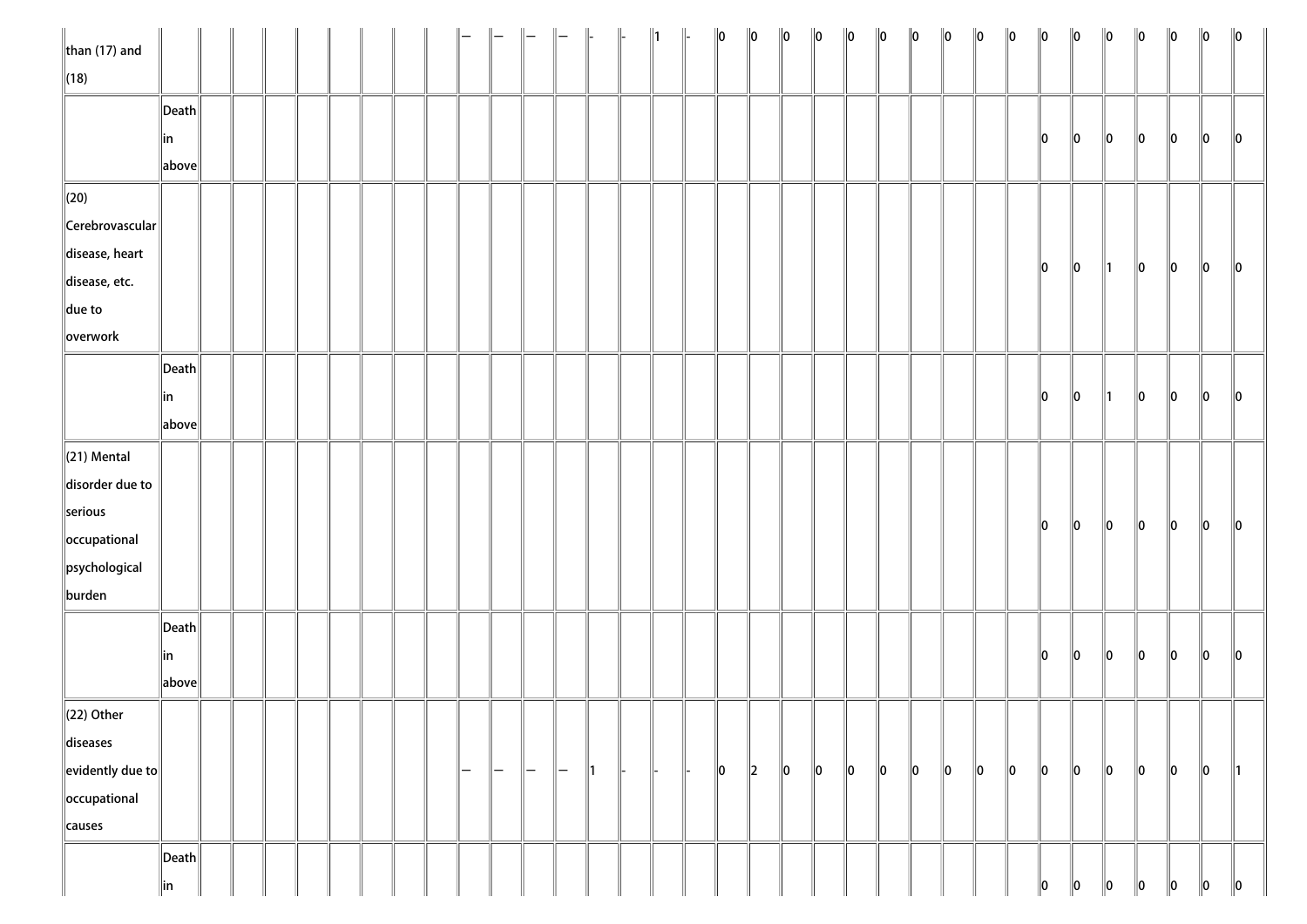| $\ $ than (17) and         |                       |  |  |  |  |     |     |     |   | $\parallel$ | $\parallel$ 1 | $\ 0\ $ | $\ 0\ $ | $\ 0\ $ | $\ 0\ $ | $\ 0\ $ | $\ 0\ $ | $\ 0\ $     | $\ 0\ $ | $\ 0\ $     | $\ 0\ $ | $\ 0\ $       | $\ 0\ $ | $\ 0\ $       | $\ 0\ $ | $\ 0\ $     | $\ 0\ $     | $\ 0\ $       |
|----------------------------|-----------------------|--|--|--|--|-----|-----|-----|---|-------------|---------------|---------|---------|---------|---------|---------|---------|-------------|---------|-------------|---------|---------------|---------|---------------|---------|-------------|-------------|---------------|
| $\ $ (18)                  |                       |  |  |  |  |     |     |     |   |             |               |         |         |         |         |         |         |             |         |             |         |               |         |               |         |             |             |               |
|                            | $\ $ Death $\ $       |  |  |  |  |     |     |     |   |             |               |         |         |         |         |         |         |             |         |             |         |               |         |               |         |             |             |               |
|                            | ∥in                   |  |  |  |  |     |     |     |   |             |               |         |         |         |         |         |         |             |         |             |         | 10            | $\ 0\ $ | $\ 0\ $       | 10      | 10          | 10          | $\parallel$ 0 |
|                            | above                 |  |  |  |  |     |     |     |   |             |               |         |         |         |         |         |         |             |         |             |         |               |         |               |         |             |             |               |
| $\parallel$ (20)           |                       |  |  |  |  |     |     |     |   |             |               |         |         |         |         |         |         |             |         |             |         |               |         |               |         |             |             |               |
| $\ $ Cerebrovascular $\ $  |                       |  |  |  |  |     |     |     |   |             |               |         |         |         |         |         |         |             |         |             |         |               |         |               |         |             |             |               |
| disease, heart             |                       |  |  |  |  |     |     |     |   |             |               |         |         |         |         |         |         |             |         |             |         | 10            |         |               |         |             |             |               |
| disease, etc.              |                       |  |  |  |  |     |     |     |   |             |               |         |         |         |         |         |         |             |         |             |         |               | $\ 0\ $ | $\parallel$ 1 | $\ 0\ $ | 10          | $\ 0\ $     | 10            |
| $\ $ due to                |                       |  |  |  |  |     |     |     |   |             |               |         |         |         |         |         |         |             |         |             |         |               |         |               |         |             |             |               |
| overwork                   |                       |  |  |  |  |     |     |     |   |             |               |         |         |         |         |         |         |             |         |             |         |               |         |               |         |             |             |               |
|                            | $\vert$ Death $\vert$ |  |  |  |  |     |     |     |   |             |               |         |         |         |         |         |         |             |         |             |         |               |         |               |         |             |             |               |
|                            | in                    |  |  |  |  |     |     |     |   |             |               |         |         |         |         |         |         |             |         |             |         | $\parallel$ 0 | $\ 0\ $ | ∥1            | 10      | $ 0\rangle$ | 10          | $\parallel$ 0 |
|                            | above                 |  |  |  |  |     |     |     |   |             |               |         |         |         |         |         |         |             |         |             |         |               |         |               |         |             |             |               |
| $\ $ (21) Mental           |                       |  |  |  |  |     |     |     |   |             |               |         |         |         |         |         |         |             |         |             |         |               |         |               |         |             |             |               |
| disorder due to            |                       |  |  |  |  |     |     |     |   |             |               |         |         |         |         |         |         |             |         |             |         |               |         |               |         |             |             |               |
| serious                    |                       |  |  |  |  |     |     |     |   |             |               |         |         |         |         |         |         |             |         |             |         |               |         |               |         |             |             |               |
| occupational               |                       |  |  |  |  |     |     |     |   |             |               |         |         |         |         |         |         |             |         |             |         | $\ 0\ $       | $\ 0\ $ | $\ 0\ $       | $\ 0\ $ | $\ 0\ $     | $ 0\rangle$ | $\ 0\ $       |
| psychological              |                       |  |  |  |  |     |     |     |   |             |               |         |         |         |         |         |         |             |         |             |         |               |         |               |         |             |             |               |
| burden                     |                       |  |  |  |  |     |     |     |   |             |               |         |         |         |         |         |         |             |         |             |         |               |         |               |         |             |             |               |
|                            | $\ $ Death $\ $       |  |  |  |  |     |     |     |   |             |               |         |         |         |         |         |         |             |         |             |         |               |         |               |         |             |             |               |
|                            | ∥in                   |  |  |  |  |     |     |     |   |             |               |         |         |         |         |         |         |             |         |             |         | $\parallel$ 0 | $\ 0\ $ | $ 0\rangle$   | $\ 0\ $ | $\ 0\ $     | $ 0\rangle$ | $\ 0\ $       |
|                            | above                 |  |  |  |  |     |     |     |   |             |               |         |         |         |         |         |         |             |         |             |         |               |         |               |         |             |             |               |
| $\ $ (22) Other            |                       |  |  |  |  |     |     |     |   |             |               |         |         |         |         |         |         |             |         |             |         |               |         |               |         |             |             |               |
| diseases                   |                       |  |  |  |  |     |     |     |   |             |               |         |         |         |         |         |         |             |         |             |         |               |         |               |         |             |             |               |
| $\ $ evidently due to $\ $ |                       |  |  |  |  | ı — | $-$ | ı — | - | ∥1          |               | $\ 0\ $ | $\ 2\ $ | $\ 0\ $ | $\ 0\ $ | $\ 0\ $ | $\ 0\ $ | $ 0\rangle$ | $\ 0\ $ | $ 0\rangle$ | $\ 0\ $ | $\ 0\ $       | $\ 0\ $ | $ 0\rangle$   | $\ 0\ $ | $\ 0\ $     | $ 0\rangle$ | ∥1            |
| occupational               |                       |  |  |  |  |     |     |     |   |             |               |         |         |         |         |         |         |             |         |             |         |               |         |               |         |             |             |               |
| causes                     |                       |  |  |  |  |     |     |     |   |             |               |         |         |         |         |         |         |             |         |             |         |               |         |               |         |             |             |               |
|                            | $\vert$ Death $\vert$ |  |  |  |  |     |     |     |   |             |               |         |         |         |         |         |         |             |         |             |         |               |         |               |         |             |             |               |
|                            | in                    |  |  |  |  |     |     |     |   |             |               |         |         |         |         |         |         |             |         |             |         | 10            | 10      | 10            | 10      | 10          | 10          | $\ 0\ $       |